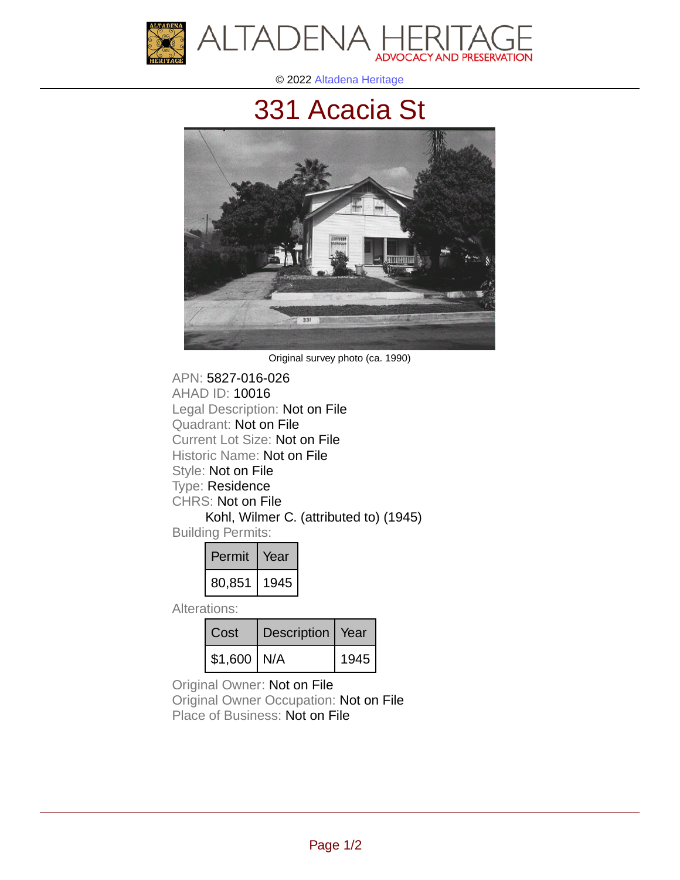

© 2022 [Altadena Heritage](http://altadenaheritage.org/)

## [331 Acacia St](ahad.altadenaheritagepdb.org/properties/10016)



Original survey photo (ca. 1990)

APN: 5827-016-026 [AHAD ID: 10016](ahad.altadenaheritagepdb.org/properties/10016) Legal Description: Not on File Quadrant: Not on File Current Lot Size: Not on File Historic Name: Not on File Style: Not on File Type: Residence CHRS: Not on File Kohl, Wilmer C. (attributed to) (1945) Building Permits:

| Permit | rear |
|--------|------|
| 80,851 | 1945 |

Alterations:

| Cost           | Description   Year |      |
|----------------|--------------------|------|
| $$1,600$   N/A |                    | 1945 |

Original Owner: Not on File

Original Owner Occupation: Not on File Place of Business: Not on File